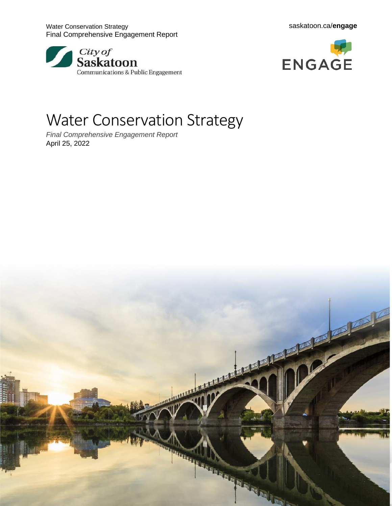





# Water Conservation Strategy

*Final Comprehensive Engagement Report* April 25, 2022

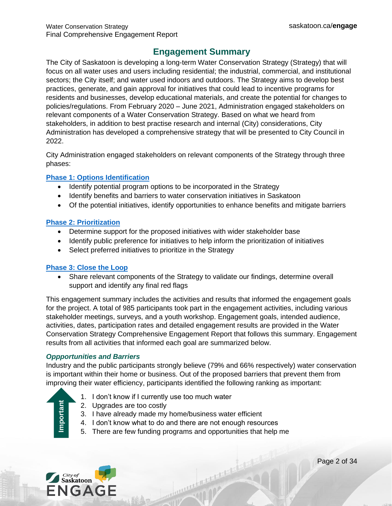# **Engagement Summary**

<span id="page-1-0"></span>The City of Saskatoon is developing a long-term Water Conservation Strategy (Strategy) that will focus on all water uses and users including residential; the industrial, commercial, and institutional sectors; the City itself; and water used indoors and outdoors. The Strategy aims to develop best practices, generate, and gain approval for initiatives that could lead to incentive programs for residents and businesses, develop educational materials, and create the potential for changes to policies/regulations. From February 2020 – June 2021, Administration engaged stakeholders on relevant components of a Water Conservation Strategy. Based on what we heard from stakeholders, in addition to best practise research and internal (City) considerations, City Administration has developed a comprehensive strategy that will be presented to City Council in 2022.

City Administration engaged stakeholders on relevant components of the Strategy through three phases:

#### **[Phase 1: Options Identification](https://www.saskatoon.ca/sites/default/files/documents/water_conservation_what_we_heard_stakeholder_interviews.pdf)**

- Identify potential program options to be incorporated in the Strategy
- Identify benefits and barriers to water conservation initiatives in Saskatoon
- Of the potential initiatives, identify opportunities to enhance benefits and mitigate barriers

#### **[Phase 2: Prioritization](https://www.saskatoon.ca/sites/default/files/documents/2021.02.23_-_phase_2_wwh_report_-_water_conservation.pdf)**

- Determine support for the proposed initiatives with wider stakeholder base
- Identify public preference for initiatives to help inform the prioritization of initiatives
- Select preferred initiatives to prioritize in the Strategy

#### **[Phase 3: Close](https://www.saskatoon.ca/sites/default/files/documents/corporate-performance/communications/Engagement/2021.08.25_-_phase_3_wwh_report_-_water_conservation_final.pdf) the Loop**

• Share relevant components of the Strategy to validate our findings, determine overall support and identify any final red flags

This engagement summary includes the activities and results that informed the engagement goals for the project. A total of 985 participants took part in the engagement activities, including various stakeholder meetings, surveys, and a youth workshop. Engagement goals, intended audience, activities, dates, participation rates and detailed engagement results are provided in the Water Conservation Strategy Comprehensive Engagement Report that follows this summary. Engagement results from all activities that informed each goal are summarized below.

#### *Oppportunities and Barriers*

Industry and the public participants strongly believe (79% and 66% respectively) water conservation is important within their home or business. Out of the proposed barriers that prevent them from improving their water efficiency, participants identified the following ranking as important:

- 1. I don't know if I currently use too much water
	- 2. Upgrades are too costly
	- 3. I have already made my home/business water efficient
	- 4. I don't know what to do and there are not enough resources
	- 5. There are few funding programs and opportunities that help me



Importan<sup>t</sup>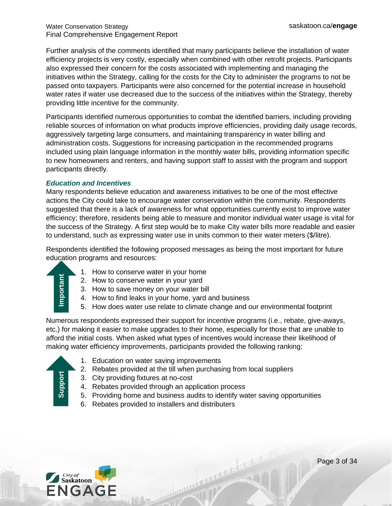Further analysis of the comments identified that many participants believe the installation of water efficiency projects is very costly, especially when combined with other retrofit projects. Participants also expressed their concern for the costs associated with implementing and managing the initiatives within the Strategy, calling for the costs for the City to administer the programs to not be passed onto taxpayers. Participants were also concerned for the potential increase in household water rates if water use decreased due to the success of the initiatives within the Strategy, thereby providing little incentive for the community.

Participants identified numerous opportunities to combat the identified barriers, including providing reliable sources of information on what products improve efficiencies, providing daily usage records, aggressively targeting large consumers, and maintaining transparency in water billing and administration costs. Suggestions for increasing participation in the recommended programs included using plain language information in the monthly water bills, providing information specific to new homeowners and renters, and having support staff to assist with the program and support participants directly.

#### *Education and Incentives*

Many respondents believe education and awareness initiatives to be one of the most effective actions the City could take to encourage water conservation within the community. Respondents suggested that there is a lack of awareness for what opportunities currently exist to improve water efficiency; therefore, residents being able to measure and monitor individual water usage is vital for the success of the Strategy. A first step would be to make City water bills more readable and easier to understand, such as expressing water use in units common to their water meters (\$/litre).

Respondents identified the following proposed messages as being the most important for future education programs and resources:

- **Support Important Important Intersection Control Intersection Control Intersection Control Intersection Control Intersection Control Intersection Control Intersection Control Intersection Control Intersection Control Inte** mportan
- 1. How to conserve water in your home
- 2. How to conserve water in your yard
- 3. How to save money on your water bill
- 4. How to find leaks in your home, yard and business
- 5. How does water use relate to climate change and our environmental footprint

Numerous respondents expressed their support for incentive programs (i.e., rebate, give-aways, etc.) for making it easier to make upgrades to their home, especially for those that are unable to afford the initial costs. When asked what types of incentives would increase their likelihood of making water efficiency improvements, participants provided the following ranking:

- 1. Education on water saving improvements
- 2. Rebates provided at the till when purchasing from local suppliers
- 3. City providing fixtures at no-cost
- 4. Rebates provided through an application process
- 5. Providing home and business audits to identify water saving opportunities

Thursday of the Marie 19

6. Rebates provided to installers and distributers

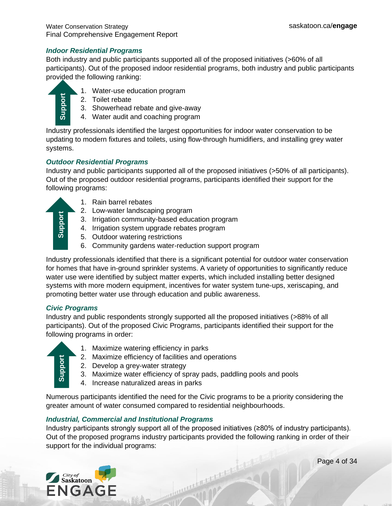#### *Indoor Residential Programs*

Both industry and public participants supported all of the proposed initiatives (>60% of all participants). Out of the proposed indoor residential programs, both industry and public participants provided the following ranking:



- 1. Water-use education program
- 2. Toilet rebate
- 3. Showerhead rebate and give-away
- 4. Water audit and coaching program

Industry professionals identified the largest opportunities for indoor water conservation to be updating to modern fixtures and toilets, using flow-through humidifiers, and installing grey water systems.

#### *Outdoor Residential Programs*

Industry and public participants supported all of the proposed initiatives (>50% of all participants). Out of the proposed outdoor residential programs, participants identified their support for the following programs:



- 1. Rain barrel rebates
- 2. Low-water landscaping program
- 3. Irrigation community-based education program
- 4. Irrigation system upgrade rebates program
- 5. Outdoor watering restrictions
- 6. Community gardens water-reduction support program

Industry professionals identified that there is a significant potential for outdoor water conservation for homes that have in-ground sprinkler systems. A variety of opportunities to significantly reduce water use were identified by subject matter experts, which included installing better designed systems with more modern equipment, incentives for water system tune-ups, xeriscaping, and promoting better water use through education and public awareness.

#### *Civic Programs*

Industry and public respondents strongly supported all the proposed initiatives (>88% of all participants). Out of the proposed Civic Programs, participants identified their support for the following programs in order:

| E                           |  |
|-----------------------------|--|
|                             |  |
|                             |  |
| $\vec{\boldsymbol{\delta}}$ |  |
|                             |  |

- 1. Maximize watering efficiency in parks
- 2. Maximize efficiency of facilities and operations
- 2. Develop a grey-water strategy
- 3. Maximize water efficiency of spray pads, paddling pools and pools
- 4. Increase naturalized areas in parks

Numerous participants identified the need for the Civic programs to be a priority considering the greater amount of water consumed compared to residential neighbourhoods.

#### *Industrial, Commercial and Institutional Programs*

Industry participants strongly support all of the proposed initiatives (≥80% of industry participants). Out of the proposed programs industry participants provided the following ranking in order of their 2. Maximize efficiency of<br>2. Develop a grey-wate<br>3. Maximize water effic<br>4. Increase naturalized<br>Numerous participants identified the<br>greater amount of water consumed<br>Industrial, Commercial and Instituted Industry particip

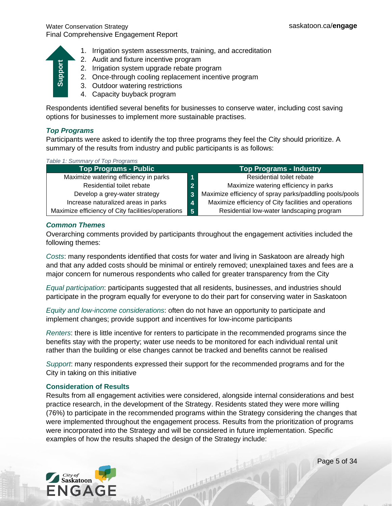

#### *Top Programs*

| Support<br>2. Addit and intuit internive program<br>2. Irrigation system upgrade rebate program<br>2. Once-through cooling replacement incentive program<br>3. Outdoor watering restrictions<br>4. Capacity buyback program                                                                                  |                                                                                                                                                                                                                                                                                                            |
|--------------------------------------------------------------------------------------------------------------------------------------------------------------------------------------------------------------------------------------------------------------------------------------------------------------|------------------------------------------------------------------------------------------------------------------------------------------------------------------------------------------------------------------------------------------------------------------------------------------------------------|
| Respondents identified several benefits for businesses to conserve water, including cost saving<br>options for businesses to implement more sustainable practises.                                                                                                                                           |                                                                                                                                                                                                                                                                                                            |
| <b>Top Programs</b><br>Participants were asked to identify the top three programs they feel the City should prioritize. A<br>summary of the results from industry and public participants is as follows:                                                                                                     |                                                                                                                                                                                                                                                                                                            |
| Table 1: Summary of Top Programs                                                                                                                                                                                                                                                                             |                                                                                                                                                                                                                                                                                                            |
| <b>Top Programs - Public</b>                                                                                                                                                                                                                                                                                 | <b>Top Programs - Industry</b>                                                                                                                                                                                                                                                                             |
| Maximize watering efficiency in parks<br>1                                                                                                                                                                                                                                                                   | Residential toilet rebate                                                                                                                                                                                                                                                                                  |
| Residential toilet rebate<br>$\overline{2}$                                                                                                                                                                                                                                                                  | Maximize watering efficiency in parks                                                                                                                                                                                                                                                                      |
| Develop a grey-water strategy<br>$\overline{\mathbf{3}}$                                                                                                                                                                                                                                                     | Maximize efficiency of spray parks/paddling pools/pools                                                                                                                                                                                                                                                    |
| Increase naturalized areas in parks<br>4                                                                                                                                                                                                                                                                     | Maximize efficiency of City facilities and operations                                                                                                                                                                                                                                                      |
| Maximize efficiency of City facilities/operations<br>$5\phantom{1}$                                                                                                                                                                                                                                          | Residential low-water landscaping program                                                                                                                                                                                                                                                                  |
| <b>Common Themes</b><br>following themes:                                                                                                                                                                                                                                                                    | Overarching comments provided by participants throughout the engagement activities included the                                                                                                                                                                                                            |
| Costs: many respondents identified that costs for water and living in Saskatoon are already high<br>major concern for numerous respondents who called for greater transparency from the City                                                                                                                 | and that any added costs should be minimal or entirely removed; unexplained taxes and fees are a                                                                                                                                                                                                           |
| Equal participation: participants suggested that all residents, businesses, and industries should<br>participate in the program equally for everyone to do their part for conserving water in Saskatoon                                                                                                      |                                                                                                                                                                                                                                                                                                            |
| Equity and low-income considerations: often do not have an opportunity to participate and<br>implement changes; provide support and incentives for low-income participants                                                                                                                                   |                                                                                                                                                                                                                                                                                                            |
| Renters: there is little incentive for renters to participate in the recommended programs since the<br>benefits stay with the property; water use needs to be monitored for each individual rental unit<br>rather than the building or else changes cannot be tracked and benefits cannot be realised        |                                                                                                                                                                                                                                                                                                            |
| Support: many respondents expressed their support for the recommended programs and for the<br>City in taking on this initiative                                                                                                                                                                              |                                                                                                                                                                                                                                                                                                            |
| <b>Consideration of Results</b><br>practice research, in the development of the Strategy. Residents stated they were more willing<br>were incorporated into the Strategy and will be considered in future implementation. Specific<br>examples of how the results shaped the design of the Strategy include: | Results from all engagement activities were considered, alongside internal considerations and best<br>(76%) to participate in the recommended programs within the Strategy considering the changes that<br>were implemented throughout the engagement process. Results from the prioritization of programs |

#### *Common Themes*

#### **Consideration of Results**

mainsurnamental



Page 5 of 34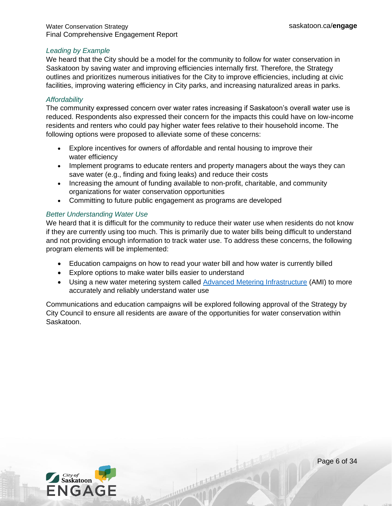#### *Leading by Example*

We heard that the City should be a model for the community to follow for water conservation in Saskatoon by saving water and improving efficiencies internally first. Therefore, the Strategy outlines and prioritizes numerous initiatives for the City to improve efficiencies, including at civic facilities, improving watering efficiency in City parks, and increasing naturalized areas in parks.

#### *Affordability*

The community expressed concern over water rates increasing if Saskatoon's overall water use is reduced. Respondents also expressed their concern for the impacts this could have on low-income residents and renters who could pay higher water fees relative to their household income. The following options were proposed to alleviate some of these concerns:

- Explore incentives for owners of affordable and rental housing to improve their water efficiency
- Implement programs to educate renters and property managers about the ways they can save water (e.g., finding and fixing leaks) and reduce their costs
- Increasing the amount of funding available to non-profit, charitable, and community organizations for water conservation opportunities
- Committing to future public engagement as programs are developed

#### *Better Understanding Water Use*

We heard that it is difficult for the community to reduce their water use when residents do not know if they are currently using too much. This is primarily due to water bills being difficult to understand and not providing enough information to track water use. To address these concerns, the following program elements will be implemented:

- Education campaigns on how to read your water bill and how water is currently billed
- Explore options to make water bills easier to understand
- Using a new water metering system called [Advanced Metering Infrastructure](https://www.saskatoon.ca/services-residents/power-water-sewer/drinking-water/water-meters/water-meter-ami-project) (AMI) to more accurately and reliably understand water use

Antonio de la Companya de la Pa

Communications and education campaigns will be explored following approval of the Strategy by City Council to ensure all residents are aware of the opportunities for water conservation within Saskatoon.



Page 6 of 34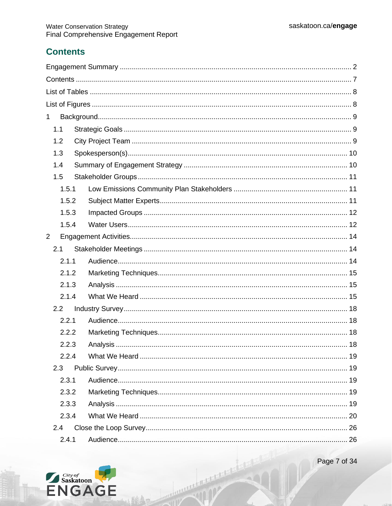# <span id="page-6-0"></span>**Contents**

| $\mathbf{1}$ |       |  |
|--------------|-------|--|
| 1.1          |       |  |
|              | 1.2   |  |
|              | 1.3   |  |
|              | 1.4   |  |
|              | 1.5   |  |
|              | 1.5.1 |  |
|              | 1.5.2 |  |
|              | 1.5.3 |  |
|              | 1.5.4 |  |
| 2            |       |  |
|              | 2.1   |  |
|              | 2.1.1 |  |
|              | 2.1.2 |  |
|              | 2.1.3 |  |
|              | 2.1.4 |  |
|              | 2.2   |  |
|              | 2.2.1 |  |
|              | 2.2.2 |  |
|              | 2.2.3 |  |
|              | 2.2.4 |  |
|              | 2.3   |  |
|              | 2.3.1 |  |
|              | 2.3.2 |  |
|              | 2.3.3 |  |
|              | 2.3.4 |  |
|              | 2.4   |  |
|              | 2.4.1 |  |

HURRICH COMPANY AND DESCRIPTION



Page 7 of 34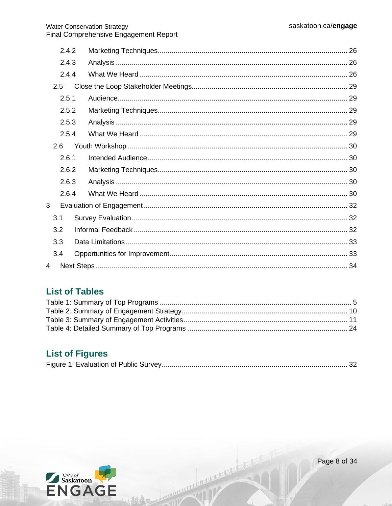| 2.4.2 |  |  |
|-------|--|--|
| 2.4.3 |  |  |
| 2.4.4 |  |  |
| 2.5   |  |  |
| 2.5.1 |  |  |
| 2.5.2 |  |  |
| 2.5.3 |  |  |
| 2.5.4 |  |  |
| 2.6   |  |  |
| 2.6.1 |  |  |
| 2.6.2 |  |  |
| 2.6.3 |  |  |
| 2.6.4 |  |  |
| 3     |  |  |
| 3.1   |  |  |
| 3.2   |  |  |
| 3.3   |  |  |
| 3.4   |  |  |
| 4     |  |  |

# <span id="page-7-0"></span>**List of Tables**

# <span id="page-7-1"></span>**List of Figures**

HARRIST CREATIVE AND INCOME.



Page 8 of 34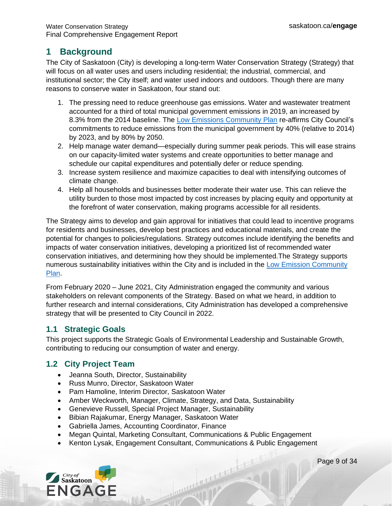# <span id="page-8-0"></span>**1 Background**

The City of Saskatoon (City) is developing a long-term Water Conservation Strategy (Strategy) that will focus on all water uses and users including residential; the industrial, commercial, and institutional sector; the City itself; and water used indoors and outdoors. Though there are many reasons to conserve water in Saskatoon, four stand out:

- 1. The pressing need to reduce greenhouse gas emissions. Water and wastewater treatment accounted for a third of total municipal government emissions in 2019, an increased by 8.3% from the 2014 baseline. The [Low Emissions Community Plan](https://www.saskatoon.ca/sites/default/files/documents/low_emissions_report-aug8_web.pdf) re-affirms City Council's commitments to reduce emissions from the municipal government by 40% (relative to 2014) by 2023, and by 80% by 2050.
- 2. Help manage water demand—especially during summer peak periods. This will ease strains on our capacity-limited water systems and create opportunities to better manage and schedule our capital expenditures and potentially defer or reduce spending.
- 3. Increase system resilience and maximize capacities to deal with intensifying outcomes of climate change.
- 4. Help all households and businesses better moderate their water use. This can relieve the utility burden to those most impacted by cost increases by placing equity and opportunity at the forefront of water conservation, making programs accessible for all residents.

The Strategy aims to develop and gain approval for initiatives that could lead to incentive programs for residents and businesses, develop best practices and educational materials, and create the potential for changes to policies/regulations. Strategy outcomes include identifying the benefits and impacts of water conservation initiatives, developing a prioritized list of recommended water conservation initiatives, and determining how they should be implemented.The Strategy supports numerous sustainability initiatives within the City and is included in the [Low Emission Community](https://www.saskatoon.ca/sites/default/files/documents/low_emissions_report-aug8_web.pdf)  [Plan.](https://www.saskatoon.ca/sites/default/files/documents/low_emissions_report-aug8_web.pdf)

From February 2020 – June 2021, City Administration engaged the community and various stakeholders on relevant components of the Strategy. Based on what we heard, in addition to further research and internal considerations, City Administration has developed a comprehensive strategy that will be presented to City Council in 2022.

# <span id="page-8-1"></span>**1.1 Strategic Goals**

This project supports the Strategic Goals of Environmental Leadership and Sustainable Growth, contributing to reducing our consumption of water and energy.

# <span id="page-8-2"></span>**1.2 City Project Team**

- Jeanna South, Director, Sustainability
- Russ Munro, Director, Saskatoon Water
- Pam Hamoline, Interim Director, Saskatoon Water
- Amber Weckworth, Manager, Climate, Strategy, and Data, Sustainability
- Genevieve Russell, Special Project Manager, Sustainability
- Bibian Rajakumar, Energy Manager, Saskatoon Water
- Gabriella James, Accounting Coordinator, Finance
- Megan Quintal, Marketing Consultant, Communications & Public Engagement
- Kenton Lysak, Engagement Consultant, Communications & Public Engagement

mental de l'argentier



Page 9 of 34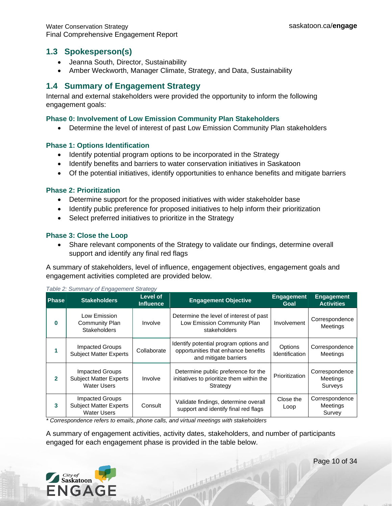#### <span id="page-9-0"></span>**1.3 Spokesperson(s)**

- Jeanna South, Director, Sustainability
- Amber Weckworth, Manager Climate, Strategy, and Data, Sustainability

### <span id="page-9-1"></span>**1.4 Summary of Engagement Strategy**

Internal and external stakeholders were provided the opportunity to inform the following engagement goals:

#### **Phase 0: Involvement of Low Emission Community Plan Stakeholders**

• Determine the level of interest of past Low Emission Community Plan stakeholders

#### **Phase 1: Options Identification**

- Identify potential program options to be incorporated in the Strategy
- Identify benefits and barriers to water conservation initiatives in Saskatoon
- Of the potential initiatives, identify opportunities to enhance benefits and mitigate barriers

#### **Phase 2: Prioritization**

- Determine support for the proposed initiatives with wider stakeholder base
- Identify public preference for proposed initiatives to help inform their prioritization
- Select preferred initiatives to prioritize in the Strategy

#### **Phase 3: Close the Loop**

• Share relevant components of the Strategy to validate our findings, determine overall support and identify any final red flags

A summary of stakeholders, level of influence, engagement objectives, engagement goals and engagement activities completed are provided below.

| <b>Phase</b> | <b>Stakeholders</b>                                                           | Level of<br><b>Influence</b> | <b>Engagement Objective</b>                                                                            | <b>Engagement</b><br>Goal | <b>Engagement</b><br><b>Activities</b> |
|--------------|-------------------------------------------------------------------------------|------------------------------|--------------------------------------------------------------------------------------------------------|---------------------------|----------------------------------------|
| $\bf{0}$     | Low Emission<br><b>Community Plan</b><br><b>Stakeholders</b>                  | Involve                      | Determine the level of interest of past<br>Low Emission Community Plan<br>stakeholders                 | Involvement               | Correspondence<br>Meetings             |
|              | Impacted Groups<br><b>Subject Matter Experts</b>                              | Collaborate                  | Identify potential program options and<br>opportunities that enhance benefits<br>and mitigate barriers | Options<br>Identification | Correspondence<br><b>Meetings</b>      |
| $\mathbf{2}$ | <b>Impacted Groups</b><br><b>Subject Matter Experts</b><br><b>Water Users</b> | Involve                      | Determine public preference for the<br>initiatives to prioritize them within the<br>Strategy           | Prioritization            | Correspondence<br>Meetings<br>Surveys  |
| 3            | <b>Impacted Groups</b><br><b>Subject Matter Experts</b><br><b>Water Users</b> | Consult                      | Validate findings, determine overall<br>support and identify final red flags                           | Close the<br>Loop         | Correspondence<br>Meetings<br>Survey   |

*Table 2: Summary of Engagement Strategy*

*\* Correspondence refers to emails, phone calls, and virtual meetings with stakeholders*

A summary of engagement activities, activity dates, stakeholders, and number of participants engaged for each engagement phase is provided in the table below.

manuration of the second state

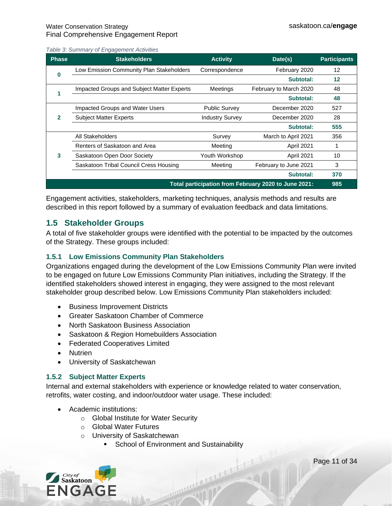*Table 3: Summary of Engagement Activities*

| <b>Phase</b>                                         | <b>Stakeholders</b>                        | <b>Activity</b>        | Date(s)                | <b>Participants</b> |
|------------------------------------------------------|--------------------------------------------|------------------------|------------------------|---------------------|
|                                                      | Low Emission Community Plan Stakeholders   | Correspondence         | February 2020          | 12                  |
| O                                                    |                                            |                        | Subtotal:              | 12                  |
|                                                      | Impacted Groups and Subject Matter Experts | Meetings               | February to March 2020 | 48                  |
|                                                      |                                            |                        | Subtotal:              | 48                  |
|                                                      | <b>Impacted Groups and Water Users</b>     | <b>Public Survey</b>   | December 2020          | 527                 |
| $\mathbf{2}$                                         | <b>Subject Matter Experts</b>              | <b>Industry Survey</b> | December 2020          | 28                  |
|                                                      |                                            |                        | Subtotal:              | 555                 |
|                                                      | All Stakeholders                           | Survey                 | March to April 2021    | 356                 |
| 3                                                    | Renters of Saskatoon and Area              | Meeting                | <b>April 2021</b>      |                     |
|                                                      | Saskatoon Open Door Society                | Youth Workshop         | April 2021             | 10                  |
|                                                      | Saskatoon Tribal Council Cress Housing     | Meeting                | February to June 2021  | 3                   |
|                                                      |                                            |                        | Subtotal:              | 370                 |
| Total participation from February 2020 to June 2021: |                                            |                        |                        | 985                 |

Engagement activities, stakeholders, marketing techniques, analysis methods and results are described in this report followed by a summary of evaluation feedback and data limitations.

### <span id="page-10-0"></span>**1.5 Stakeholder Groups**

<span id="page-10-3"></span>A total of five stakeholder groups were identified with the potential to be impacted by the outcomes of the Strategy. These groups included:

#### <span id="page-10-1"></span>**1.5.1 Low Emissions Community Plan Stakeholders**

Organizations engaged during the development of the Low Emissions Community Plan were invited to be engaged on future Low Emissions Community Plan initiatives, including the Strategy. If the identified stakeholders showed interest in engaging, they were assigned to the most relevant stakeholder group described below. Low Emissions Community Plan stakeholders included:

- Business Improvement Districts
- Greater Saskatoon Chamber of Commerce
- North Saskatoon Business Association
- Saskatoon & Region Homebuilders Association
- Federated Cooperatives Limited
- Nutrien
- University of Saskatchewan

#### <span id="page-10-2"></span>**1.5.2 Subject Matter Experts**

Internal and external stakeholders with experience or knowledge related to water conservation, retrofits, water costing, and indoor/outdoor water usage. These included:

muniche Comment

- Academic institutions:
	- o Global Institute for Water Security
	- o Global Water Futures
	- o University of Saskatchewan
		- **School of Environment and Sustainability**



Page 11 of 34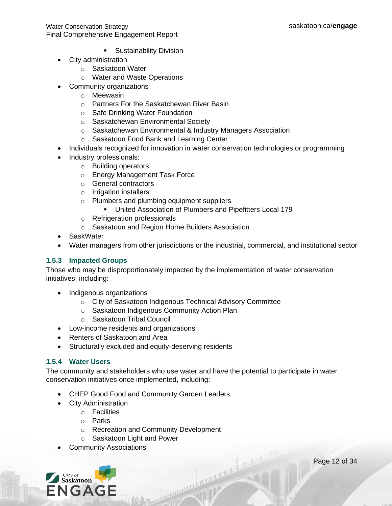- **E** Sustainability Division
- City administration
	- o Saskatoon Water
	- o Water and Waste Operations
- Community organizations
	- o Meewasin
	- o Partners For the Saskatchewan River Basin
	- o Safe Drinking Water Foundation
	- o Saskatchewan Environmental Society
	- o Saskatchewan Environmental & Industry Managers Association
	- o Saskatoon Food Bank and Learning Center
- Individuals recognized for innovation in water conservation technologies or programming
- Industry professionals:
	- o Building operators
	- o Energy Management Task Force
	- o General contractors
	- o Irrigation installers
	- o Plumbers and plumbing equipment suppliers
		- United Association of Plumbers and Pipefitters Local 179
	- o Refrigeration professionals
	- o Saskatoon and Region Home Builders Association
- SaskWater
- Water managers from other jurisdictions or the industrial, commercial, and institutional sector

#### <span id="page-11-0"></span>**1.5.3 Impacted Groups**

Those who may be disproportionately impacted by the implementation of water conservation initiatives, including:

- Indigenous organizations
	- o City of Saskatoon Indigenous Technical Advisory Committee
	- o Saskatoon Indigenous Community Action Plan
	- o Saskatoon Tribal Council
- Low-income residents and organizations
- Renters of Saskatoon and Area
- Structurally excluded and equity-deserving residents

#### <span id="page-11-1"></span>**1.5.4 Water Users**

The community and stakeholders who use water and have the potential to participate in water conservation initiatives once implemented, including:

Antonio Anticipale

- CHEP Good Food and Community Garden Leaders
- City Administration
	- o Facilities
	- o Parks
	- o Recreation and Community Development
	- o Saskatoon Light and Power
- Community Associations

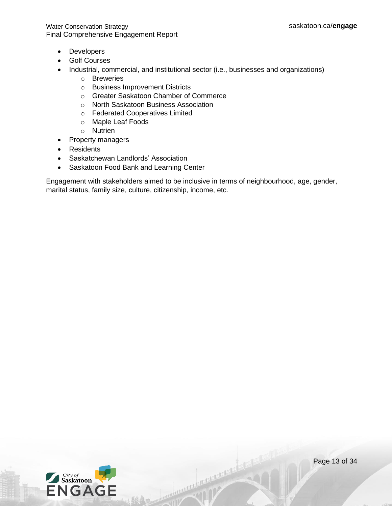- Developers
- Golf Courses
- Industrial, commercial, and institutional sector (i.e., businesses and organizations)
	- o Breweries
	- o Business Improvement Districts
	- o Greater Saskatoon Chamber of Commerce
	- o North Saskatoon Business Association
	- o Federated Cooperatives Limited
	- o Maple Leaf Foods
	- o Nutrien
- Property managers
- Residents
- Saskatchewan Landlords' Association
- Saskatoon Food Bank and Learning Center

Engagement with stakeholders aimed to be inclusive in terms of neighbourhood, age, gender, marital status, family size, culture, citizenship, income, etc.

married and state

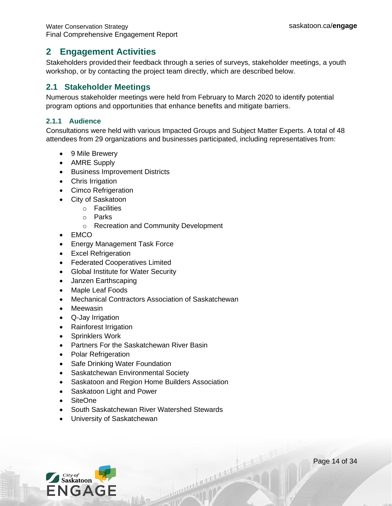# <span id="page-13-0"></span>**2 Engagement Activities**

Stakeholders provided their feedback through a series of surveys, stakeholder meetings, a youth workshop, or by contacting the project team directly, which are described below.

### <span id="page-13-1"></span>**2.1 Stakeholder Meetings**

Numerous stakeholder meetings were held from February to March 2020 to identify potential program options and opportunities that enhance benefits and mitigate barriers.

#### <span id="page-13-2"></span>**2.1.1 Audience**

Consultations were held with various Impacted Groups and Subject Matter Experts. A total of 48 attendees from 29 organizations and businesses participated, including representatives from:

Anterior Literature

- 9 Mile Brewery
- AMRE Supply
- Business Improvement Districts
- Chris Irrigation
- Cimco Refrigeration
- City of Saskatoon
	- o Facilities
		- o Parks
		- o Recreation and Community Development
- EMCO
- Energy Management Task Force
- Excel Refrigeration
- Federated Cooperatives Limited
- Global Institute for Water Security
- Janzen Earthscaping
- Maple Leaf Foods
- Mechanical Contractors Association of Saskatchewan
- Meewasin
- Q-Jay Irrigation
- Rainforest Irrigation
- Sprinklers Work
- Partners For the Saskatchewan River Basin
- Polar Refrigeration
- Safe Drinking Water Foundation
- Saskatchewan Environmental Society
- Saskatoon and Region Home Builders Association
- Saskatoon Light and Power
- SiteOne
- South Saskatchewan River Watershed Stewards
- University of Saskatchewan

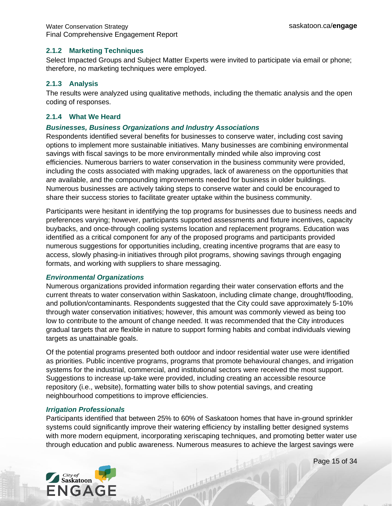#### <span id="page-14-0"></span>**2.1.2 Marketing Techniques**

Select Impacted Groups and Subject Matter Experts were invited to participate via email or phone; therefore, no marketing techniques were employed.

#### <span id="page-14-1"></span>**2.1.3 Analysis**

The results were analyzed using qualitative methods, including the thematic analysis and the open coding of responses.

#### <span id="page-14-2"></span>**2.1.4 What We Heard**

#### *Businesses, Business Organizations and Industry Associations*

Respondents identified several benefits for businesses to conserve water, including cost saving options to implement more sustainable initiatives. Many businesses are combining environmental savings with fiscal savings to be more environmentally minded while also improving cost efficiencies. Numerous barriers to water conservation in the business community were provided, including the costs associated with making upgrades, lack of awareness on the opportunities that are available, and the compounding improvements needed for business in older buildings. Numerous businesses are actively taking steps to conserve water and could be encouraged to share their success stories to facilitate greater uptake within the business community.

Participants were hesitant in identifying the top programs for businesses due to business needs and preferences varying; however, participants supported assessments and fixture incentives, capacity buybacks, and once-through cooling systems location and replacement programs. Education was identified as a critical component for any of the proposed programs and participants provided numerous suggestions for opportunities including, creating incentive programs that are easy to access, slowly phasing-in initiatives through pilot programs, showing savings through engaging formats, and working with suppliers to share messaging.

#### *Environmental Organizations*

Numerous organizations provided information regarding their water conservation efforts and the current threats to water conservation within Saskatoon, including climate change, drought/flooding, and pollution/contaminants. Respondents suggested that the City could save approximately 5-10% through water conservation initiatives; however, this amount was commonly viewed as being too low to contribute to the amount of change needed. It was recommended that the City introduces gradual targets that are flexible in nature to support forming habits and combat individuals viewing targets as unattainable goals.

Of the potential programs presented both outdoor and indoor residential water use were identified as priorities. Public incentive programs, programs that promote behavioural changes, and irrigation systems for the industrial, commercial, and institutional sectors were received the most support. Suggestions to increase up-take were provided, including creating an accessible resource repository (i.e., website), formatting water bills to show potential savings, and creating neighbourhood competitions to improve efficiencies.

#### *Irrigation Professionals*

Participants identified that between 25% to 60% of Saskatoon homes that have in-ground sprinkler systems could significantly improve their watering efficiency by installing better designed systems with more modern equipment, incorporating xeriscaping techniques, and promoting better water use through education and public awareness. Numerous measures to achieve the largest savings were



Page 15 of 34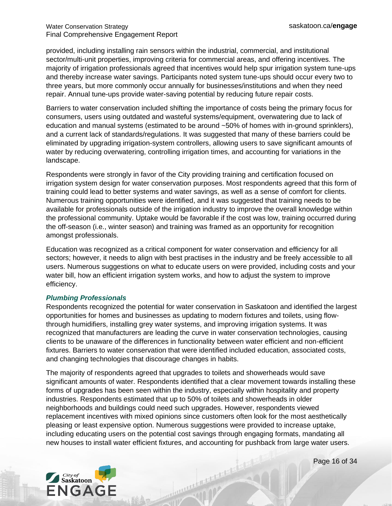provided, including installing rain sensors within the industrial, commercial, and institutional sector/multi-unit properties, improving criteria for commercial areas, and offering incentives. The majority of irrigation professionals agreed that incentives would help spur irrigation system tune-ups and thereby increase water savings. Participants noted system tune-ups should occur every two to three years, but more commonly occur annually for businesses/institutions and when they need repair. Annual tune-ups provide water-saving potential by reducing future repair costs.

Barriers to water conservation included shifting the importance of costs being the primary focus for consumers, users using outdated and wasteful systems/equipment, overwatering due to lack of education and manual systems (estimated to be around ~50% of homes with in-ground sprinklers), and a current lack of standards/regulations. It was suggested that many of these barriers could be eliminated by upgrading irrigation-system controllers, allowing users to save significant amounts of water by reducing overwatering, controlling irrigation times, and accounting for variations in the landscape.

Respondents were strongly in favor of the City providing training and certification focused on irrigation system design for water conservation purposes. Most respondents agreed that this form of training could lead to better systems and water savings, as well as a sense of comfort for clients. Numerous training opportunities were identified, and it was suggested that training needs to be available for professionals outside of the irrigation industry to improve the overall knowledge within the professional community. Uptake would be favorable if the cost was low, training occurred during the off-season (i.e., winter season) and training was framed as an opportunity for recognition amongst professionals.

Education was recognized as a critical component for water conservation and efficiency for all sectors; however, it needs to align with best practises in the industry and be freely accessible to all users. Numerous suggestions on what to educate users on were provided, including costs and your water bill, how an efficient irrigation system works, and how to adjust the system to improve efficiency.

#### *Plumbing Professionals*

Respondents recognized the potential for water conservation in Saskatoon and identified the largest opportunities for homes and businesses as updating to modern fixtures and toilets, using flowthrough humidifiers, installing grey water systems, and improving irrigation systems. It was recognized that manufacturers are leading the curve in water conservation technologies, causing clients to be unaware of the differences in functionality between water efficient and non-efficient fixtures. Barriers to water conservation that were identified included education, associated costs, and changing technologies that discourage changes in habits.

The majority of respondents agreed that upgrades to toilets and showerheads would save significant amounts of water. Respondents identified that a clear movement towards installing these forms of upgrades has been seen within the industry, especially within hospitality and property industries. Respondents estimated that up to 50% of toilets and showerheads in older neighborhoods and buildings could need such upgrades. However, respondents viewed replacement incentives with mixed opinions since customers often look for the most aesthetically pleasing or least expensive option. Numerous suggestions were provided to increase uptake, including educating users on the potential cost savings through engaging formats, mandating all new houses to install water efficient fixtures, and accounting for pushback from large water users.

A CONTRACTOR AND A



Page 16 of 34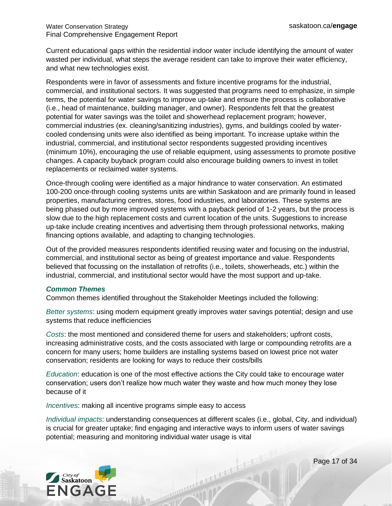Current educational gaps within the residential indoor water include identifying the amount of water wasted per individual, what steps the average resident can take to improve their water efficiency, and what new technologies exist.

Respondents were in favor of assessments and fixture incentive programs for the industrial, commercial, and institutional sectors. It was suggested that programs need to emphasize, in simple terms, the potential for water savings to improve up-take and ensure the process is collaborative (i.e., head of maintenance, building manager, and owner). Respondents felt that the greatest potential for water savings was the toilet and showerhead replacement program; however, commercial industries (ex. cleaning/sanitizing industries), gyms, and buildings cooled by watercooled condensing units were also identified as being important. To increase uptake within the industrial, commercial, and institutional sector respondents suggested providing incentives (minimum 10%), encouraging the use of reliable equipment, using assessments to promote positive changes. A capacity buyback program could also encourage building owners to invest in toilet replacements or reclaimed water systems.

Once-through cooling were identified as a major hindrance to water conservation. An estimated 100-200 once-through cooling systems units are within Saskatoon and are primarily found in leased properties, manufacturing centres, stores, food industries, and laboratories. These systems are being phased out by more improved systems with a payback period of 1-2 years, but the process is slow due to the high replacement costs and current location of the units. Suggestions to increase up-take include creating incentives and advertising them through professional networks, making financing options available, and adapting to changing technologies.

Out of the provided measures respondents identified reusing water and focusing on the industrial, commercial, and institutional sector as being of greatest importance and value. Respondents believed that focussing on the installation of retrofits (i.e., toilets, showerheads, etc.) within the industrial, commercial, and institutional sector would have the most support and up-take.

#### *Common Themes*

Common themes identified throughout the Stakeholder Meetings included the following:

*Better systems*: using modern equipment greatly improves water savings potential; design and use systems that reduce inefficiencies

*Costs*: the most mentioned and considered theme for users and stakeholders; upfront costs, increasing administrative costs, and the costs associated with large or compounding retrofits are a concern for many users; home builders are installing systems based on lowest price not water conservation; residents are looking for ways to reduce their costs/bills

*Education*: education is one of the most effective actions the City could take to encourage water conservation; users don't realize how much water they waste and how much money they lose because of it

*Incentives*: making all incentive programs simple easy to access

*Individual impacts*: understanding consequences at different scales (i.e., global, City, and individual) is crucial for greater uptake; find engaging and interactive ways to inform users of water savings potential; measuring and monitoring individual water usage is vital

A CONTRACTOR AND A



Page 17 of 34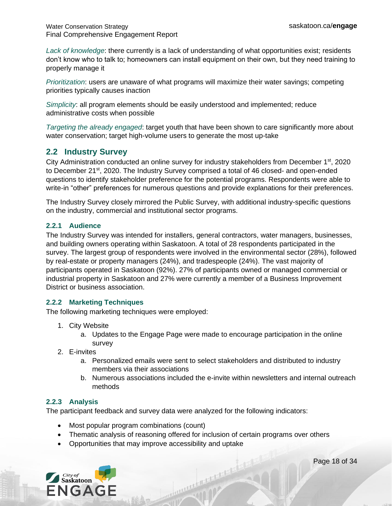*Lack of knowledge*: there currently is a lack of understanding of what opportunities exist; residents don't know who to talk to; homeowners can install equipment on their own, but they need training to properly manage it

*Prioritization*: users are unaware of what programs will maximize their water savings; competing priorities typically causes inaction

*Simplicity*: all program elements should be easily understood and implemented; reduce administrative costs when possible

*Targeting the already engaged*: target youth that have been shown to care significantly more about water conservation; target high-volume users to generate the most up-take

# <span id="page-17-0"></span>**2.2 Industry Survey**

City Administration conducted an online survey for industry stakeholders from December 1<sup>st</sup>, 2020 to December 21<sup>st</sup>, 2020. The Industry Survey comprised a total of 46 closed- and open-ended questions to identify stakeholder preference for the potential programs. Respondents were able to write-in "other" preferences for numerous questions and provide explanations for their preferences.

The Industry Survey closely mirrored the Public Survey, with additional industry-specific questions on the industry, commercial and institutional sector programs.

#### <span id="page-17-1"></span>**2.2.1 Audience**

The Industry Survey was intended for installers, general contractors, water managers, businesses, and building owners operating within Saskatoon. A total of 28 respondents participated in the survey. The largest group of respondents were involved in the environmental sector (28%), followed by real-estate or property managers (24%), and tradespeople (24%). The vast majority of participants operated in Saskatoon (92%). 27% of participants owned or managed commercial or industrial property in Saskatoon and 27% were currently a member of a Business Improvement District or business association.

#### <span id="page-17-2"></span>**2.2.2 Marketing Techniques**

The following marketing techniques were employed:

- 1. City Website
	- a. Updates to the Engage Page were made to encourage participation in the online survey
- 2. E-invites
	- a. Personalized emails were sent to select stakeholders and distributed to industry members via their associations
	- b. Numerous associations included the e-invite within newsletters and internal outreach methods

#### <span id="page-17-3"></span>**2.2.3 Analysis**

The participant feedback and survey data were analyzed for the following indicators:

- Most popular program combinations (count)
- Thematic analysis of reasoning offered for inclusion of certain programs over others

and the contract of the second state

• Opportunities that may improve accessibility and uptake



Page 18 of 34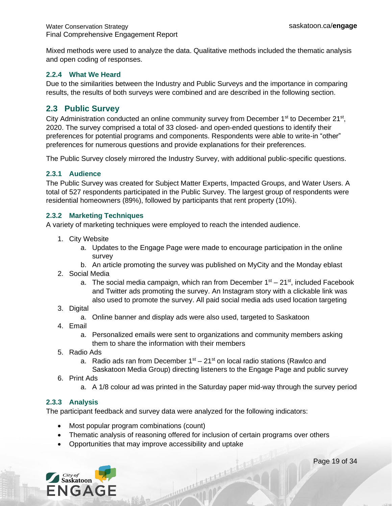Mixed methods were used to analyze the data. Qualitative methods included the thematic analysis and open coding of responses.

#### <span id="page-18-0"></span>**2.2.4 What We Heard**

Due to the similarities between the Industry and Public Surveys and the importance in comparing results, the results of both surveys were combined and are described in the following section.

# <span id="page-18-1"></span>**2.3 Public Survey**

City Administration conducted an online community survey from December 1<sup>st</sup> to December 21<sup>st</sup>, 2020. The survey comprised a total of 33 closed- and open-ended questions to identify their preferences for potential programs and components. Respondents were able to write-in "other" preferences for numerous questions and provide explanations for their preferences.

The Public Survey closely mirrored the Industry Survey, with additional public-specific questions.

#### <span id="page-18-2"></span>**2.3.1 Audience**

The Public Survey was created for Subject Matter Experts, Impacted Groups, and Water Users. A total of 527 respondents participated in the Public Survey. The largest group of respondents were residential homeowners (89%), followed by participants that rent property (10%).

#### <span id="page-18-3"></span>**2.3.2 Marketing Techniques**

A variety of marketing techniques were employed to reach the intended audience.

- 1. City Website
	- a. Updates to the Engage Page were made to encourage participation in the online survey
	- b. An article promoting the survey was published on MyCity and the Monday eblast
- 2. Social Media
	- a. The social media campaign, which ran from December 1<sup>st</sup> 21<sup>st</sup>, included Facebook and Twitter ads promoting the survey. An Instagram story with a clickable link was also used to promote the survey. All paid social media ads used location targeting
- 3. Digital
	- a. Online banner and display ads were also used, targeted to Saskatoon
- 4. Email
	- a. Personalized emails were sent to organizations and community members asking them to share the information with their members
- 5. Radio Ads
	- a. Radio ads ran from December  $1<sup>st</sup> 21<sup>st</sup>$  on local radio stations (Rawlco and Saskatoon Media Group) directing listeners to the Engage Page and public survey
- 6. Print Ads
	- a. A 1/8 colour ad was printed in the Saturday paper mid-way through the survey period

#### <span id="page-18-4"></span>**2.3.3 Analysis**

The participant feedback and survey data were analyzed for the following indicators:

- Most popular program combinations (count)
- Thematic analysis of reasoning offered for inclusion of certain programs over others

Communication of the Communication

• Opportunities that may improve accessibility and uptake



Page 19 of 34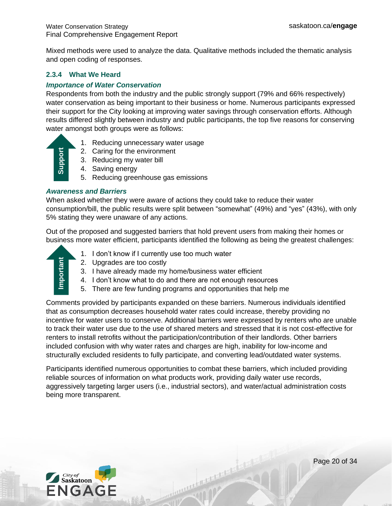Mixed methods were used to analyze the data. Qualitative methods included the thematic analysis and open coding of responses.

#### <span id="page-19-0"></span>**2.3.4 What We Heard**

#### *Importance of Water Conservation*

Respondents from both the industry and the public strongly support (79% and 66% respectively) water conservation as being important to their business or home. Numerous participants expressed their support for the City looking at improving water savings through conservation efforts. Although results differed slightly between industry and public participants, the top five reasons for conserving water amongst both groups were as follows:

- 1. Reducing unnecessary water usage
- 2. Caring for the environment
- 3. Reducing my water bill
- 4. Saving energy
- 5. Reducing greenhouse gas emissions

#### *Awareness and Barriers*

When asked whether they were aware of actions they could take to reduce their water consumption/bill, the public results were split between "somewhat" (49%) and "yes" (43%), with only 5% stating they were unaware of any actions.

Out of the proposed and suggested barriers that hold prevent users from making their homes or business more water efficient, participants identified the following as being the greatest challenges:



- 1. I don't know if I currently use too much water
- 2. Upgrades are too costly
- 3. I have already made my home/business water efficient
- 4. I don't know what to do and there are not enough resources
- 5. There are few funding programs and opportunities that help me

Comments provided by participants expanded on these barriers. Numerous individuals identified that as consumption decreases household water rates could increase, thereby providing no incentive for water users to conserve. Additional barriers were expressed by renters who are unable to track their water use due to the use of shared meters and stressed that it is not cost-effective for renters to install retrofits without the participation/contribution of their landlords. Other barriers included confusion with why water rates and charges are high, inability for low-income and structurally excluded residents to fully participate, and converting lead/outdated water systems. 2. Caring for<br>
3. Reducing<br>
4. Saving en<br>
5. Reducing<br>
4. Saving en<br>
5. Reducing<br>
4. Saving the public Reducing<br>
5% stating they were una<br>
Out of the proposed and<br>
business more water effi<br>
1. I don't know<br>
2. Upgrades<br>
3.

Participants identified numerous opportunities to combat these barriers, which included providing reliable sources of information on what products work, providing daily water use records, aggressively targeting larger users (i.e., industrial sectors), and water/actual administration costs

Communication of the Communication

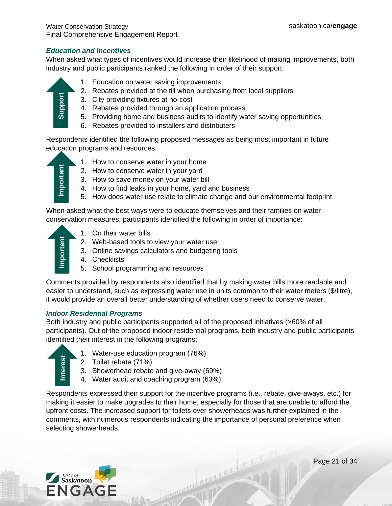#### *Education and Incentives*

When asked what types of incentives would increase their likelihood of making improvements, both industry and public participants ranked the following in order of their support:



- 1. Education on water saving improvements
- 2. Rebates provided at the till when purchasing from local suppliers
- 3. City providing fixtures at no-cost
- 4. Rebates provided through an application process
- 5. Providing home and business audits to identify water saving opportunities
- 6. Rebates provided to installers and distributers

Respondents identified the following proposed messages as being most important in future education programs and resources:



- 1. How to conserve water in your home
- 2. How to conserve water in your yard
- 3. How to save money on your water bill
- 4. How to find leaks in your home, yard and business
- 5. How does water use relate to climate change and our environmental footprint

When asked what the best ways were to educate themselves and their families on water conservation measures, participants identified the following in order of importance:

- - 1. On their water bills
	- 2. Web-based tools to view your water use
	- 3. Online savings calculators and budgeting tools
	- 4. Checklists
	- 5. School programming and resources

Comments provided by respondents also identified that by making water bills more readable and easier to understand, such as expressing water use in units common to their water meters (\$/litre), it would provide an overall better understanding of whether users need to conserve water.

#### *Indoor Residential Programs*

Both industry and public participants supported all of the proposed initiatives (>60% of all participants). Out of the proposed indoor residential programs, both industry and public participants identified their interest in the following programs:



- 1. Water-use education program (76%)
- 2. Toilet rebate (71%)
- 3. Showerhead rebate and give-away (69%)
- 4. Water audit and coaching program (63%)

Respondents expressed their support for the incentive programs (i.e., rebate, give-aways, etc.) for making it easier to make upgrades to their home, especially for those that are unable to afford the upfront costs. The increased support for toilets over showerheads was further explained in the comments, with numerous respondents indicating the importance of personal preference when 3. City provides and the Respondents identified the ducation programs and the Respondents identified the education programs and the How to compute the Supportant Supportant Support Conservation measures, the Support Conser

The Contractor of the Contractor of the Contractor of the Contractor of the Contractor of the Contractor of the Contractor of the Contractor of the Contractor of the Contractor of the Contractor of the Contractor of the Co

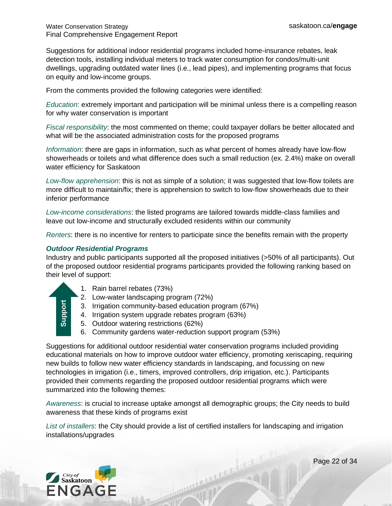Suggestions for additional indoor residential programs included home-insurance rebates, leak detection tools, installing individual meters to track water consumption for condos/multi-unit dwellings, upgrading outdated water lines (i.e., lead pipes), and implementing programs that focus on equity and low-income groups.

From the comments provided the following categories were identified:

*Education*: extremely important and participation will be minimal unless there is a compelling reason for why water conservation is important

*Fiscal responsibility*: the most commented on theme; could taxpayer dollars be better allocated and what will be the associated administration costs for the proposed programs

*Information*: there are gaps in information, such as what percent of homes already have low-flow showerheads or toilets and what difference does such a small reduction (ex. 2.4%) make on overall water efficiency for Saskatoon

*Low-flow apprehension*: this is not as simple of a solution; it was suggested that low-flow toilets are more difficult to maintain/fix; there is apprehension to switch to low-flow showerheads due to their inferior performance

*Low-income considerations*: the listed programs are tailored towards middle-class families and leave out low-income and structurally excluded residents within our community

*Renters*: there is no incentive for renters to participate since the benefits remain with the property

#### *Outdoor Residential Programs*

Industry and public participants supported all the proposed initiatives (>50% of all participants). Out of the proposed outdoor residential programs participants provided the following ranking based on their level of support:

- 
- 1. Rain barrel rebates (73%)
- 2. Low-water landscaping program (72%)
- 3. Irrigation community-based education program (67%)
- 4. Irrigation system upgrade rebates program (63%)
- 5. Outdoor watering restrictions (62%)
- 6. Community gardens water-reduction support program (53%)

Suggestions for additional outdoor residential water conservation programs included providing educational materials on how to improve outdoor water efficiency, promoting xeriscaping, requiring new builds to follow new water efficiency standards in landscaping, and focussing on new technologies in irrigation (i.e., timers, improved controllers, drip irrigation, etc.). Participants provided their comments regarding the proposed outdoor residential programs which were summarized into the following themes: 3. Irrigatic<br>4. Irrigatic<br>5. Outdoc<br>6. Commu<br>Suggestions for additiveducational materials<br>new builds to follow netechnologies in irrigati<br>provided their comme<br>summarized into the fe<br>Awareness: is crucial<br>awareness: is cruc

*Awareness*: is crucial to increase uptake amongst all demographic groups; the City needs to build awareness that these kinds of programs exist

*List of installers*: the City should provide a list of certified installers for landscaping and irrigation

Continued by the continued

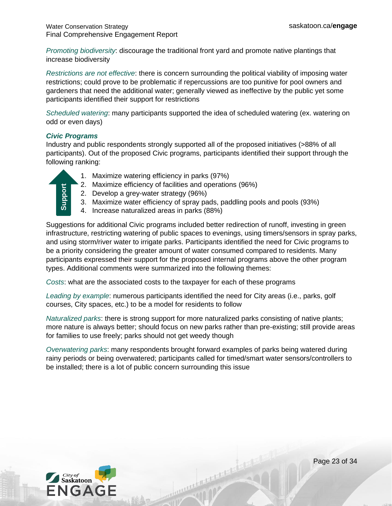*Promoting biodiversity*: discourage the traditional front yard and promote native plantings that increase biodiversity

*Restrictions are not effective*: there is concern surrounding the political viability of imposing water restrictions; could prove to be problematic if repercussions are too punitive for pool owners and gardeners that need the additional water; generally viewed as ineffective by the public yet some participants identified their support for restrictions

*Scheduled watering*: many participants supported the idea of scheduled watering (ex. watering on odd or even days)

#### *Civic Programs*

Industry and public respondents strongly supported all of the proposed initiatives (>88% of all participants). Out of the proposed Civic programs, participants identified their support through the following ranking:

| ٤.<br>٥ |  |
|---------|--|
|         |  |
|         |  |
| မြိ     |  |
|         |  |

- 1. Maximize watering efficiency in parks (97%)
- 2. Maximize efficiency of facilities and operations (96%)
- 2. Develop a grey-water strategy (96%)
- 3. Maximize water efficiency of spray pads, paddling pools and pools (93%)
- 4. Increase naturalized areas in parks (88%)

Suggestions for additional Civic programs included better redirection of runoff, investing in green infrastructure, restricting watering of public spaces to evenings, using timers/sensors in spray parks, and using storm/river water to irrigate parks. Participants identified the need for Civic programs to be a priority considering the greater amount of water consumed compared to residents. Many participants expressed their support for the proposed internal programs above the other program types. Additional comments were summarized into the following themes: 2. Maximize enticlency or accitities and operations (96%)<br>
3. Maximize water stricteincy (96%)<br>
4. Increase naturalized areas in parks (88%)<br>
Suggestions for additional Civic programs included better redirection<br>
infrastru

*Costs*: what are the associated costs to the taxpayer for each of these programs

*Leading by example*: numerous participants identified the need for City areas (i.e., parks, golf courses, City spaces, etc.) to be a model for residents to follow

*Naturalized parks*: there is strong support for more naturalized parks consisting of native plants; more nature is always better; should focus on new parks rather than pre-existing; still provide areas for families to use freely; parks should not get weedy though

*Overwatering parks*: many respondents brought forward examples of parks being watered during rainy periods or being overwatered; participants called for timed/smart water sensors/controllers to

Communication of the Communication



Page 23 of 34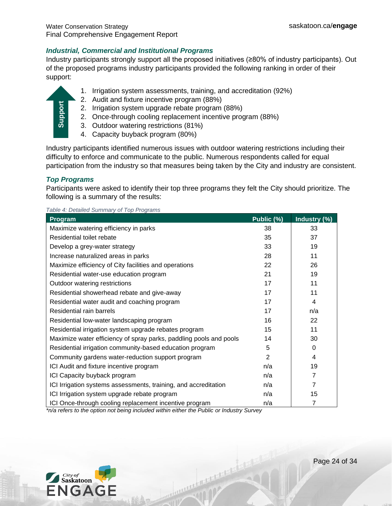#### *Industrial, Commercial and Institutional Programs*

Industry participants strongly support all the proposed initiatives (≥80% of industry participants). Out of the proposed programs industry participants provided the following ranking in order of their support:

- 1. Irrigation system assessments, training, and accreditation (92%)
- 2. Audit and fixture incentive program (88%)
- 2. Irrigation system upgrade rebate program (88%)
- 2. Once-through cooling replacement incentive program (88%)
- 3. Outdoor watering restrictions (81%)
- 4. Capacity buyback program (80%)

Industry participants identified numerous issues with outdoor watering restrictions including their difficulty to enforce and communicate to the public. Numerous respondents called for equal participation from the industry so that measures being taken by the City and industry are consistent.

#### *Top Programs*

| <b>Support</b><br>2. Irrigation system upgrade rebate program (88%)<br>2. Once-through cooling replacement incentive program (88%)<br>3. Outdoor watering restrictions (81%)<br>4. Capacity buyback program (80%)                                                                                  |            |                |
|----------------------------------------------------------------------------------------------------------------------------------------------------------------------------------------------------------------------------------------------------------------------------------------------------|------------|----------------|
| Industry participants identified numerous issues with outdoor watering restrictions including the<br>difficulty to enforce and communicate to the public. Numerous respondents called for equal<br>participation from the industry so that measures being taken by the City and industry are consi |            |                |
| <b>Top Programs</b><br>Participants were asked to identify their top three programs they felt the City should prioritize.<br>following is a summary of the results:                                                                                                                                |            |                |
| Table 4: Detailed Summary of Top Programs                                                                                                                                                                                                                                                          |            |                |
| Program                                                                                                                                                                                                                                                                                            | Public (%) | Industry (%)   |
| Maximize watering efficiency in parks                                                                                                                                                                                                                                                              | 38         | 33             |
| Residential toilet rebate                                                                                                                                                                                                                                                                          | 35         | 37             |
| Develop a grey-water strategy                                                                                                                                                                                                                                                                      | 33         | 19             |
| Increase naturalized areas in parks                                                                                                                                                                                                                                                                | 28         | 11             |
| Maximize efficiency of City facilities and operations                                                                                                                                                                                                                                              | 22         | 26             |
| Residential water-use education program                                                                                                                                                                                                                                                            | 21         | 19             |
| Outdoor watering restrictions                                                                                                                                                                                                                                                                      | 17         | 11             |
| Residential showerhead rebate and give-away                                                                                                                                                                                                                                                        | 17         | 11             |
| Residential water audit and coaching program                                                                                                                                                                                                                                                       | 17         | 4              |
| Residential rain barrels                                                                                                                                                                                                                                                                           | 17         | n/a            |
| Residential low-water landscaping program                                                                                                                                                                                                                                                          | 16         | 22             |
| Residential irrigation system upgrade rebates program                                                                                                                                                                                                                                              | 15         | 11             |
| Maximize water efficiency of spray parks, paddling pools and pools                                                                                                                                                                                                                                 | 14         | 30             |
| Residential irrigation community-based education program                                                                                                                                                                                                                                           | 5          | 0              |
| Community gardens water-reduction support program                                                                                                                                                                                                                                                  | 2          | 4              |
| ICI Audit and fixture incentive program                                                                                                                                                                                                                                                            | n/a        | 19             |
| ICI Capacity buyback program                                                                                                                                                                                                                                                                       | n/a        | $\overline{7}$ |
| ICI Irrigation systems assessments, training, and accreditation                                                                                                                                                                                                                                    | n/a        | $\overline{7}$ |
| ICI Irrigation system upgrade rebate program                                                                                                                                                                                                                                                       | n/a        | 15             |
| ICI Once-through cooling replacement incentive program<br>*n/a refers to the option not being included within either the Public or Industry Survey                                                                                                                                                 | n/a        | $\overline{7}$ |

marcular processive

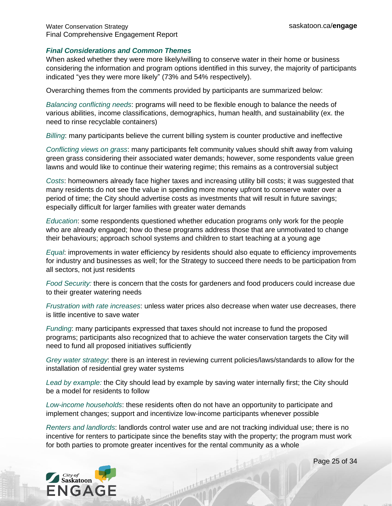#### *Final Considerations and Common Themes*

When asked whether they were more likely/willing to conserve water in their home or business considering the information and program options identified in this survey, the majority of participants indicated "yes they were more likely" (73% and 54% respectively).

Overarching themes from the comments provided by participants are summarized below:

*Balancing conflicting needs*: programs will need to be flexible enough to balance the needs of various abilities, income classifications, demographics, human health, and sustainability (ex. the need to rinse recyclable containers)

*Billing*: many participants believe the current billing system is counter productive and ineffective

*Conflicting views on grass*: many participants felt community values should shift away from valuing green grass considering their associated water demands; however, some respondents value green lawns and would like to continue their watering regime; this remains as a controversial subject

*Costs*: homeowners already face higher taxes and increasing utility bill costs; it was suggested that many residents do not see the value in spending more money upfront to conserve water over a period of time; the City should advertise costs as investments that will result in future savings; especially difficult for larger families with greater water demands

*Education*: some respondents questioned whether education programs only work for the people who are already engaged; how do these programs address those that are unmotivated to change their behaviours; approach school systems and children to start teaching at a young age

*Equal*: improvements in water efficiency by residents should also equate to efficiency improvements for industry and businesses as well; for the Strategy to succeed there needs to be participation from all sectors, not just residents

*Food Security:* there is concern that the costs for gardeners and food producers could increase due to their greater watering needs

*Frustration with rate increases*: unless water prices also decrease when water use decreases, there is little incentive to save water

*Funding*: many participants expressed that taxes should not increase to fund the proposed programs; participants also recognized that to achieve the water conservation targets the City will need to fund all proposed initiatives sufficiently

*Grey water strategy*: there is an interest in reviewing current policies/laws/standards to allow for the installation of residential grey water systems

*Lead by example:* the City should lead by example by saving water internally first; the City should be a model for residents to follow

*Low-income households*: these residents often do not have an opportunity to participate and implement changes; support and incentivize low-income participants whenever possible

*Renters and landlords*: landlords control water use and are not tracking individual use; there is no incentive for renters to participate since the benefits stay with the property; the program must work for both parties to promote greater incentives for the rental community as a whole

A CONTRACTOR AND A



Page 25 of 34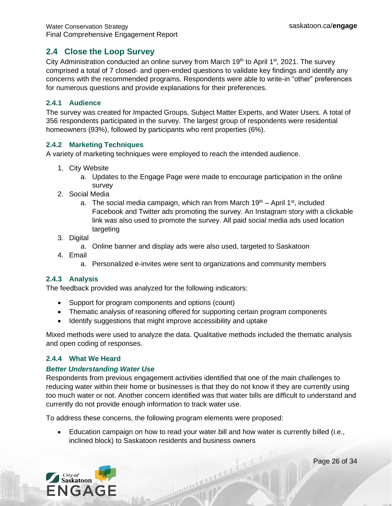### <span id="page-25-0"></span>**2.4 Close the Loop Survey**

City Administration conducted an online survey from March 19<sup>th</sup> to April 1<sup>st</sup>, 2021. The survey comprised a total of 7 closed- and open-ended questions to validate key findings and identify any concerns with the recommended programs. Respondents were able to write-in "other" preferences for numerous questions and provide explanations for their preferences.

#### <span id="page-25-1"></span>**2.4.1 Audience**

The survey was created for Impacted Groups, Subject Matter Experts, and Water Users. A total of 356 respondents participated in the survey. The largest group of respondents were residential homeowners (93%), followed by participants who rent properties (6%).

#### <span id="page-25-2"></span>**2.4.2 Marketing Techniques**

A variety of marketing techniques were employed to reach the intended audience.

- 1. City Website
	- a. Updates to the Engage Page were made to encourage participation in the online survey
- 2. Social Media
	- a. The social media campaign, which ran from March  $19<sup>th</sup> -$  April  $1<sup>st</sup>$ , included Facebook and Twitter ads promoting the survey. An Instagram story with a clickable link was also used to promote the survey. All paid social media ads used location targeting
- 3. Digital
	- a. Online banner and display ads were also used, targeted to Saskatoon
- 4. Email
	- a. Personalized e-invites were sent to organizations and community members

#### <span id="page-25-3"></span>**2.4.3 Analysis**

The feedback provided was analyzed for the following indicators:

- Support for program components and options (count)
- Thematic analysis of reasoning offered for supporting certain program components
- Identify suggestions that might improve accessibility and uptake

Mixed methods were used to analyze the data. Qualitative methods included the thematic analysis and open coding of responses.

#### <span id="page-25-4"></span>**2.4.4 What We Heard**

#### *Better Understanding Water Use*

Respondents from previous engagement activities identified that one of the main challenges to reducing water within their home or businesses is that they do not know if they are currently using too much water or not. Another concern identified was that water bills are difficult to understand and currently do not provide enough information to track water use.

To address these concerns, the following program elements were proposed:

• Education campaign on how to read your water bill and how water is currently billed (i.e., inclined block) to Saskatoon residents and business owners

Communication of the Communication

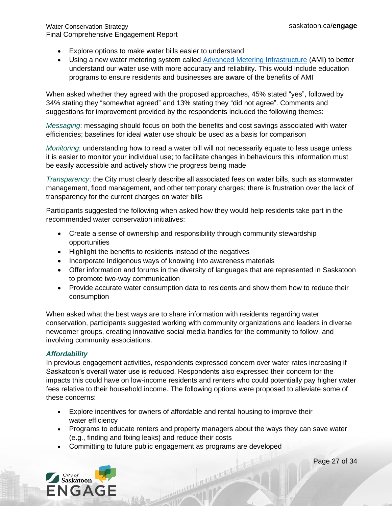- Explore options to make water bills easier to understand
- Using a new water metering system called [Advanced Metering Infrastructure](https://www.saskatoon.ca/services-residents/power-water-sewer/drinking-water/water-meters/water-meter-ami-project) (AMI) to better understand our water use with more accuracy and reliability. This would include education programs to ensure residents and businesses are aware of the benefits of AMI

When asked whether they agreed with the proposed approaches, 45% stated "yes", followed by 34% stating they "somewhat agreed" and 13% stating they "did not agree". Comments and suggestions for improvement provided by the respondents included the following themes:

*Messaging*: messaging should focus on both the benefits and cost savings associated with water efficiencies; baselines for ideal water use should be used as a basis for comparison

*Monitoring*: understanding how to read a water bill will not necessarily equate to less usage unless it is easier to monitor your individual use; to facilitate changes in behaviours this information must be easily accessible and actively show the progress being made

*Transparency*: the City must clearly describe all associated fees on water bills, such as stormwater management, flood management, and other temporary charges; there is frustration over the lack of transparency for the current charges on water bills

Participants suggested the following when asked how they would help residents take part in the recommended water conservation initiatives:

- Create a sense of ownership and responsibility through community stewardship opportunities
- Highlight the benefits to residents instead of the negatives
- Incorporate Indigenous ways of knowing into awareness materials
- Offer information and forums in the diversity of languages that are represented in Saskatoon to promote two-way communication
- Provide accurate water consumption data to residents and show them how to reduce their consumption

When asked what the best ways are to share information with residents regarding water conservation, participants suggested working with community organizations and leaders in diverse newcomer groups, creating innovative social media handles for the community to follow, and involving community associations.

#### *Affordability*

In previous engagement activities, respondents expressed concern over water rates increasing if Saskatoon's overall water use is reduced. Respondents also expressed their concern for the impacts this could have on low-income residents and renters who could potentially pay higher water fees relative to their household income. The following options were proposed to alleviate some of these concerns:

- Explore incentives for owners of affordable and rental housing to improve their water efficiency
- Programs to educate renters and property managers about the ways they can save water (e.g., finding and fixing leaks) and reduce their costs

Communication of the content of the

• Committing to future public engagement as programs are developed

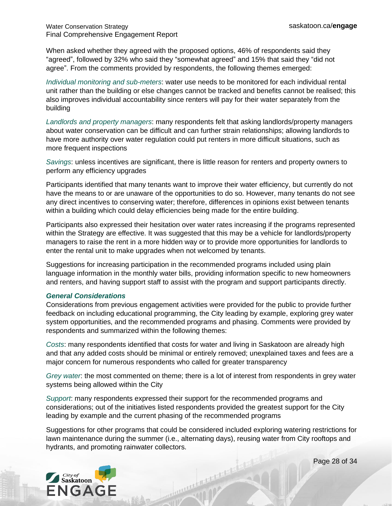When asked whether they agreed with the proposed options, 46% of respondents said they "agreed", followed by 32% who said they "somewhat agreed" and 15% that said they "did not agree". From the comments provided by respondents, the following themes emerged:

*Individual monitoring and sub-meters*: water use needs to be monitored for each individual rental unit rather than the building or else changes cannot be tracked and benefits cannot be realised; this also improves individual accountability since renters will pay for their water separately from the building

*Landlords and property managers*: many respondents felt that asking landlords/property managers about water conservation can be difficult and can further strain relationships; allowing landlords to have more authority over water regulation could put renters in more difficult situations, such as more frequent inspections

*Savings*: unless incentives are significant, there is little reason for renters and property owners to perform any efficiency upgrades

Participants identified that many tenants want to improve their water efficiency, but currently do not have the means to or are unaware of the opportunities to do so. However, many tenants do not see any direct incentives to conserving water; therefore, differences in opinions exist between tenants within a building which could delay efficiencies being made for the entire building.

Participants also expressed their hesitation over water rates increasing if the programs represented within the Strategy are effective. It was suggested that this may be a vehicle for landlords/property managers to raise the rent in a more hidden way or to provide more opportunities for landlords to enter the rental unit to make upgrades when not welcomed by tenants.

Suggestions for increasing participation in the recommended programs included using plain language information in the monthly water bills, providing information specific to new homeowners and renters, and having support staff to assist with the program and support participants directly.

#### *General Considerations*

Considerations from previous engagement activities were provided for the public to provide further feedback on including educational programming, the City leading by example, exploring grey water system opportunities, and the recommended programs and phasing. Comments were provided by respondents and summarized within the following themes:

*Costs*: many respondents identified that costs for water and living in Saskatoon are already high and that any added costs should be minimal or entirely removed; unexplained taxes and fees are a major concern for numerous respondents who called for greater transparency

*Grey water*: the most commented on theme; there is a lot of interest from respondents in grey water systems being allowed within the City

*Support*: many respondents expressed their support for the recommended programs and considerations; out of the initiatives listed respondents provided the greatest support for the City leading by example and the current phasing of the recommended programs

Suggestions for other programs that could be considered included exploring watering restrictions for lawn maintenance during the summer (i.e., alternating days), reusing water from City rooftops and hydrants, and promoting rainwater collectors.

A CONTRACTOR AND A



Page 28 of 34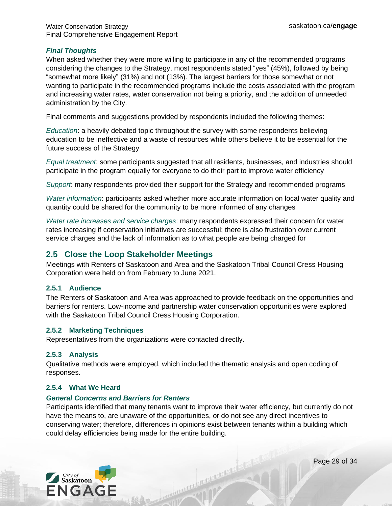#### *Final Thoughts*

When asked whether they were more willing to participate in any of the recommended programs considering the changes to the Strategy, most respondents stated "yes" (45%), followed by being "somewhat more likely" (31%) and not (13%). The largest barriers for those somewhat or not wanting to participate in the recommended programs include the costs associated with the program and increasing water rates, water conservation not being a priority, and the addition of unneeded administration by the City.

Final comments and suggestions provided by respondents included the following themes:

*Education*: a heavily debated topic throughout the survey with some respondents believing education to be ineffective and a waste of resources while others believe it to be essential for the future success of the Strategy

*Equal treatment*: some participants suggested that all residents, businesses, and industries should participate in the program equally for everyone to do their part to improve water efficiency

*Support*: many respondents provided their support for the Strategy and recommended programs

*Water information*: participants asked whether more accurate information on local water quality and quantity could be shared for the community to be more informed of any changes

*Water rate increases and service charges*: many respondents expressed their concern for water rates increasing if conservation initiatives are successful; there is also frustration over current service charges and the lack of information as to what people are being charged for

#### <span id="page-28-0"></span>**2.5 Close the Loop Stakeholder Meetings**

Meetings with Renters of Saskatoon and Area and the Saskatoon Tribal Council Cress Housing Corporation were held on from February to June 2021.

#### <span id="page-28-1"></span>**2.5.1 Audience**

The Renters of Saskatoon and Area was approached to provide feedback on the opportunities and barriers for renters. Low-income and partnership water conservation opportunities were explored with the Saskatoon Tribal Council Cress Housing Corporation.

#### <span id="page-28-2"></span>**2.5.2 Marketing Techniques**

Representatives from the organizations were contacted directly.

#### <span id="page-28-3"></span>**2.5.3 Analysis**

Qualitative methods were employed, which included the thematic analysis and open coding of responses.

#### <span id="page-28-4"></span>**2.5.4 What We Heard**

#### *General Concerns and Barriers for Renters*

Participants identified that many tenants want to improve their water efficiency, but currently do not have the means to, are unaware of the opportunities, or do not see any direct incentives to conserving water; therefore, differences in opinions exist between tenants within a building which could delay efficiencies being made for the entire building.

Communication of the Communication



Page 29 of 34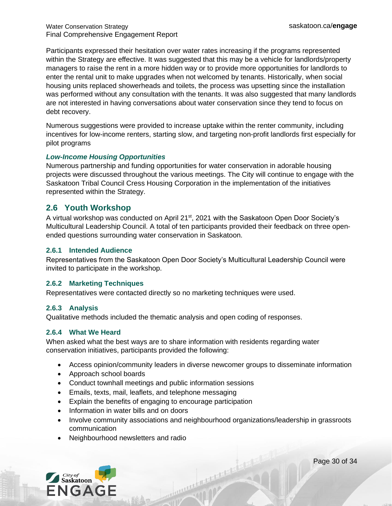Participants expressed their hesitation over water rates increasing if the programs represented within the Strategy are effective. It was suggested that this may be a vehicle for landlords/property managers to raise the rent in a more hidden way or to provide more opportunities for landlords to enter the rental unit to make upgrades when not welcomed by tenants. Historically, when social housing units replaced showerheads and toilets, the process was upsetting since the installation was performed without any consultation with the tenants. It was also suggested that many landlords are not interested in having conversations about water conservation since they tend to focus on debt recovery.

Numerous suggestions were provided to increase uptake within the renter community, including incentives for low-income renters, starting slow, and targeting non-profit landlords first especially for pilot programs

#### *Low-Income Housing Opportunities*

Numerous partnership and funding opportunities for water conservation in adorable housing projects were discussed throughout the various meetings. The City will continue to engage with the Saskatoon Tribal Council Cress Housing Corporation in the implementation of the initiatives represented within the Strategy.

### <span id="page-29-0"></span>**2.6 Youth Workshop**

A virtual workshop was conducted on April 21<sup>st</sup>, 2021 with the Saskatoon Open Door Society's Multicultural Leadership Council. A total of ten participants provided their feedback on three openended questions surrounding water conservation in Saskatoon.

#### <span id="page-29-1"></span>**2.6.1 Intended Audience**

Representatives from the Saskatoon Open Door Society's Multicultural Leadership Council were invited to participate in the workshop.

#### <span id="page-29-2"></span>**2.6.2 Marketing Techniques**

Representatives were contacted directly so no marketing techniques were used.

#### <span id="page-29-3"></span>**2.6.3 Analysis**

Qualitative methods included the thematic analysis and open coding of responses.

#### <span id="page-29-4"></span>**2.6.4 What We Heard**

When asked what the best ways are to share information with residents regarding water conservation initiatives, participants provided the following:

- Access opinion/community leaders in diverse newcomer groups to disseminate information
- Approach school boards
- Conduct townhall meetings and public information sessions
- Emails, texts, mail, leaflets, and telephone messaging
- Explain the benefits of engaging to encourage participation
- Information in water bills and on doors
- Involve community associations and neighbourhood organizations/leadership in grassroots communication

The Contractor of the Contractor of the Contractor of the Contractor of the Contractor

• Neighbourhood newsletters and radio



Page 30 of 34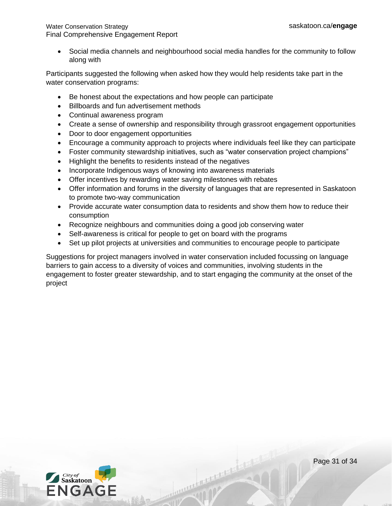• Social media channels and neighbourhood social media handles for the community to follow along with

Participants suggested the following when asked how they would help residents take part in the water conservation programs:

- Be honest about the expectations and how people can participate
- Billboards and fun advertisement methods
- Continual awareness program
- Create a sense of ownership and responsibility through grassroot engagement opportunities
- Door to door engagement opportunities
- Encourage a community approach to projects where individuals feel like they can participate
- Foster community stewardship initiatives, such as "water conservation project champions"
- Highlight the benefits to residents instead of the negatives
- Incorporate Indigenous ways of knowing into awareness materials
- Offer incentives by rewarding water saving milestones with rebates
- Offer information and forums in the diversity of languages that are represented in Saskatoon to promote two-way communication
- Provide accurate water consumption data to residents and show them how to reduce their consumption
- Recognize neighbours and communities doing a good job conserving water
- Self-awareness is critical for people to get on board with the programs
- Set up pilot projects at universities and communities to encourage people to participate

Suggestions for project managers involved in water conservation included focussing on language barriers to gain access to a diversity of voices and communities, involving students in the engagement to foster greater stewardship, and to start engaging the community at the onset of the project

Annual Property



Page 31 of 34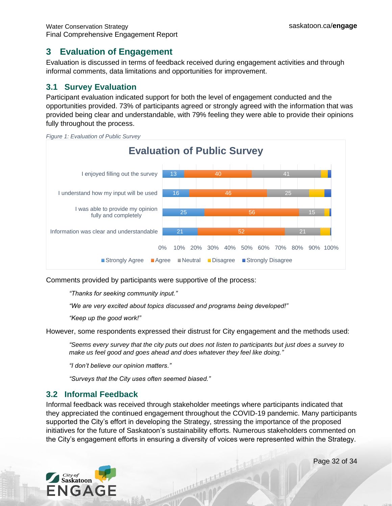# <span id="page-31-0"></span>**3 Evaluation of Engagement**

Evaluation is discussed in terms of feedback received during engagement activities and through informal comments, data limitations and opportunities for improvement.

# <span id="page-31-1"></span>**3.1 Survey Evaluation**

Participant evaluation indicated support for both the level of engagement conducted and the opportunities provided. 73% of participants agreed or strongly agreed with the information that was provided being clear and understandable, with 79% feeling they were able to provide their opinions fully throughout the process.





Comments provided by participants were supportive of the process:

*"Thanks for seeking community input."*

*"We are very excited about topics discussed and programs being developed!"*

*"Keep up the good work!"*

However, some respondents expressed their distrust for City engagement and the methods used:

*"Seems every survey that the city puts out does not listen to participants but just does a survey to make us feel good and goes ahead and does whatever they feel like doing."*

*"I don't believe our opinion matters."*

*"Surveys that the City uses often seemed biased."*

# <span id="page-31-2"></span>**3.2 Informal Feedback**

Informal feedback was received through stakeholder meetings where participants indicated that they appreciated the continued engagement throughout the COVID-19 pandemic. Many participants supported the City's effort in developing the Strategy, stressing the importance of the proposed initiatives for the future of Saskatoon's sustainability efforts. Numerous stakeholders commented on the City's engagement efforts in ensuring a diversity of voices were represented within the Strategy.



Page 32 of 34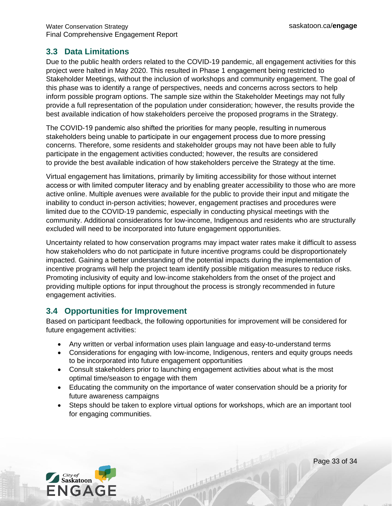### <span id="page-32-0"></span>**3.3 Data Limitations**

Due to the public health orders related to the COVID-19 pandemic, all engagement activities for this project were halted in May 2020. This resulted in Phase 1 engagement being restricted to Stakeholder Meetings, without the inclusion of workshops and community engagement. The goal of this phase was to identify a range of perspectives, needs and concerns across sectors to help inform possible program options. The sample size within the Stakeholder Meetings may not fully provide a full representation of the population under consideration; however, the results provide the best available indication of how stakeholders perceive the proposed programs in the Strategy.

The COVID-19 pandemic also shifted the priorities for many people, resulting in numerous stakeholders being unable to participate in our engagement process due to more pressing concerns. Therefore, some residents and stakeholder groups may not have been able to fully participate in the engagement activities conducted; however, the results are considered to provide the best available indication of how stakeholders perceive the Strategy at the time.

Virtual engagement has limitations, primarily by limiting accessibility for those without internet access or with limited computer literacy and by enabling greater accessibility to those who are more active online. Multiple avenues were available for the public to provide their input and mitigate the inability to conduct in-person activities; however, engagement practises and procedures were limited due to the COVID-19 pandemic, especially in conducting physical meetings with the community. Additional considerations for low-income, Indigenous and residents who are structurally excluded will need to be incorporated into future engagement opportunities.

Uncertainty related to how conservation programs may impact water rates make it difficult to assess how stakeholders who do not participate in future incentive programs could be disproportionately impacted. Gaining a better understanding of the potential impacts during the implementation of incentive programs will help the project team identify possible mitigation measures to reduce risks. Promoting inclusivity of equity and low-income stakeholders from the onset of the project and providing multiple options for input throughout the process is strongly recommended in future engagement activities.

# <span id="page-32-1"></span>**3.4 Opportunities for Improvement**

Based on participant feedback, the following opportunities for improvement will be considered for future engagement activities:

- Any written or verbal information uses plain language and easy-to-understand terms
- Considerations for engaging with low-income, Indigenous, renters and equity groups needs to be incorporated into future engagement opportunities
- Consult stakeholders prior to launching engagement activities about what is the most optimal time/season to engage with them
- Educating the community on the importance of water conservation should be a priority for future awareness campaigns
- Steps should be taken to explore virtual options for workshops, which are an important tool for engaging communities.

mahment to the second state



Page 33 of 34